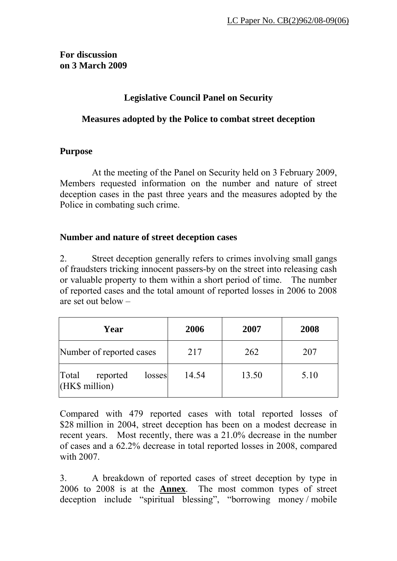### **For discussion on 3 March 2009**

# **Legislative Council Panel on Security**

# **Measures adopted by the Police to combat street deception**

## **Purpose**

At the meeting of the Panel on Security held on 3 February 2009, Members requested information on the number and nature of street deception cases in the past three years and the measures adopted by the Police in combating such crime.

## **Number and nature of street deception cases**

2. Street deception generally refers to crimes involving small gangs of fraudsters tricking innocent passers-by on the street into releasing cash or valuable property to them within a short period of time. The number of reported cases and the total amount of reported losses in 2006 to 2008 are set out below –

| Year                                          | 2006  | 2007  | 2008 |
|-----------------------------------------------|-------|-------|------|
| Number of reported cases                      | 217   | 262   | 207  |
| Total<br>reported<br>losses<br>(HK\$ million) | 14.54 | 13.50 | 5.10 |

Compared with 479 reported cases with total reported losses of \$28 million in 2004, street deception has been on a modest decrease in recent years. Most recently, there was a 21.0% decrease in the number of cases and a 62.2% decrease in total reported losses in 2008, compared with 2007.

3. A breakdown of reported cases of street deception by type in 2006 to 2008 is at the **Annex**. The most common types of street deception include "spiritual blessing", "borrowing money / mobile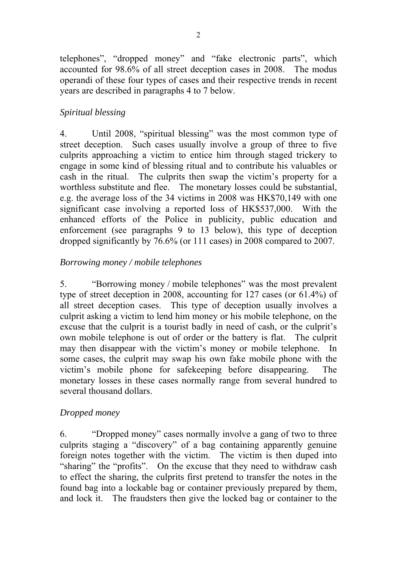telephones", "dropped money" and "fake electronic parts", which accounted for 98.6% of all street deception cases in 2008. The modus operandi of these four types of cases and their respective trends in recent years are described in paragraphs 4 to 7 below.

## *Spiritual blessing*

4. Until 2008, "spiritual blessing" was the most common type of street deception. Such cases usually involve a group of three to five culprits approaching a victim to entice him through staged trickery to engage in some kind of blessing ritual and to contribute his valuables or cash in the ritual. The culprits then swap the victim's property for a worthless substitute and flee. The monetary losses could be substantial, e.g. the average loss of the 34 victims in 2008 was HK\$70,149 with one significant case involving a reported loss of HK\$537,000. With the enhanced efforts of the Police in publicity, public education and enforcement (see paragraphs 9 to 13 below), this type of deception dropped significantly by 76.6% (or 111 cases) in 2008 compared to 2007.

### *Borrowing money / mobile telephones*

5. "Borrowing money / mobile telephones" was the most prevalent type of street deception in 2008, accounting for 127 cases (or 61.4%) of all street deception cases. This type of deception usually involves a culprit asking a victim to lend him money or his mobile telephone, on the excuse that the culprit is a tourist badly in need of cash, or the culprit's own mobile telephone is out of order or the battery is flat. The culprit may then disappear with the victim's money or mobile telephone. In some cases, the culprit may swap his own fake mobile phone with the victim's mobile phone for safekeeping before disappearing. The monetary losses in these cases normally range from several hundred to several thousand dollars.

#### *Dropped money*

6. "Dropped money" cases normally involve a gang of two to three culprits staging a "discovery" of a bag containing apparently genuine foreign notes together with the victim. The victim is then duped into "sharing" the "profits". On the excuse that they need to withdraw cash to effect the sharing, the culprits first pretend to transfer the notes in the found bag into a lockable bag or container previously prepared by them, and lock it. The fraudsters then give the locked bag or container to the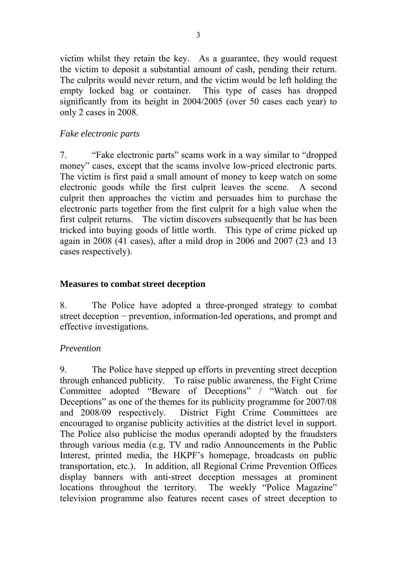victim whilst they retain the key. As a guarantee, they would request the victim to deposit a substantial amount of cash, pending their return. The culprits would never return, and the victim would be left holding the empty locked bag or container. This type of cases has dropped significantly from its height in 2004/2005 (over 50 cases each year) to only 2 cases in 2008.

#### *Fake electronic parts*

7. "Fake electronic parts" scams work in a way similar to "dropped money" cases, except that the scams involve low-priced electronic parts. The victim is first paid a small amount of money to keep watch on some electronic goods while the first culprit leaves the scene. A second culprit then approaches the victim and persuades him to purchase the electronic parts together from the first culprit for a high value when the first culprit returns. The victim discovers subsequently that he has been tricked into buying goods of little worth. This type of crime picked up again in 2008 (41 cases), after a mild drop in 2006 and 2007 (23 and 13 cases respectively).

### **Measures to combat street deception**

8. The Police have adopted a three-pronged strategy to combat street deception − prevention, information-led operations, and prompt and effective investigations.

### *Prevention*

9. The Police have stepped up efforts in preventing street deception through enhanced publicity. To raise public awareness, the Fight Crime Committee adopted "Beware of Deceptions" / "Watch out for Deceptions" as one of the themes for its publicity programme for 2007/08 and 2008/09 respectively. District Fight Crime Committees are encouraged to organise publicity activities at the district level in support. The Police also publicise the modus operandi adopted by the fraudsters through various media (e.g. TV and radio Announcements in the Public Interest, printed media, the HKPF's homepage, broadcasts on public transportation, etc.). In addition, all Regional Crime Prevention Offices display banners with anti-street deception messages at prominent locations throughout the territory. The weekly "Police Magazine" television programme also features recent cases of street deception to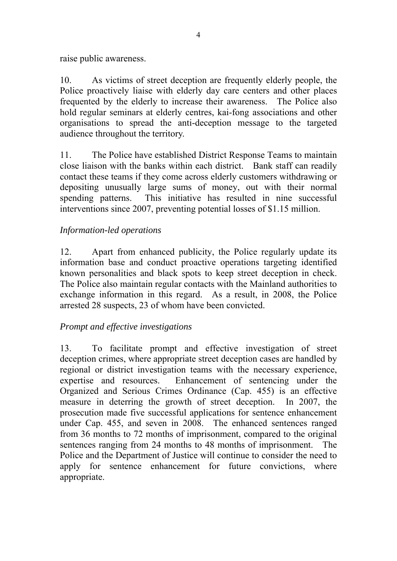raise public awareness.

10. As victims of street deception are frequently elderly people, the Police proactively liaise with elderly day care centers and other places frequented by the elderly to increase their awareness. The Police also hold regular seminars at elderly centres, kai-fong associations and other organisations to spread the anti-deception message to the targeted audience throughout the territory.

11. The Police have established District Response Teams to maintain close liaison with the banks within each district. Bank staff can readily contact these teams if they come across elderly customers withdrawing or depositing unusually large sums of money, out with their normal spending patterns. This initiative has resulted in nine successful interventions since 2007, preventing potential losses of \$1.15 million.

# *Information-led operations*

12. Apart from enhanced publicity, the Police regularly update its information base and conduct proactive operations targeting identified known personalities and black spots to keep street deception in check. The Police also maintain regular contacts with the Mainland authorities to exchange information in this regard. As a result, in 2008, the Police arrested 28 suspects, 23 of whom have been convicted.

# *Prompt and effective investigations*

13. To facilitate prompt and effective investigation of street deception crimes, where appropriate street deception cases are handled by regional or district investigation teams with the necessary experience, expertise and resources. Enhancement of sentencing under the Organized and Serious Crimes Ordinance (Cap. 455) is an effective measure in deterring the growth of street deception. In 2007, the prosecution made five successful applications for sentence enhancement under Cap. 455, and seven in 2008. The enhanced sentences ranged from 36 months to 72 months of imprisonment, compared to the original sentences ranging from 24 months to 48 months of imprisonment. The Police and the Department of Justice will continue to consider the need to apply for sentence enhancement for future convictions, where appropriate.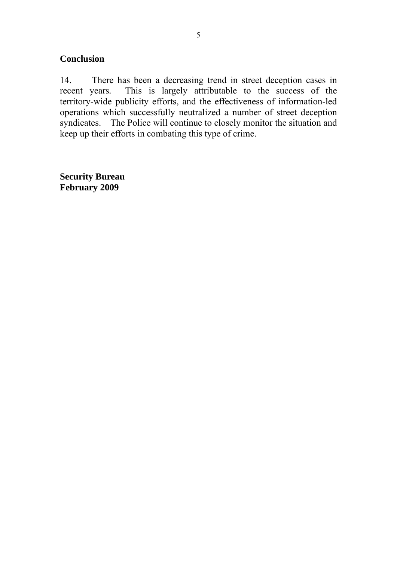### **Conclusion**

14. There has been a decreasing trend in street deception cases in recent years*.* This is largely attributable to the success of the territory-wide publicity efforts, and the effectiveness of information-led operations which successfully neutralized a number of street deception syndicates. The Police will continue to closely monitor the situation and keep up their efforts in combating this type of crime.

**Security Bureau February 2009**